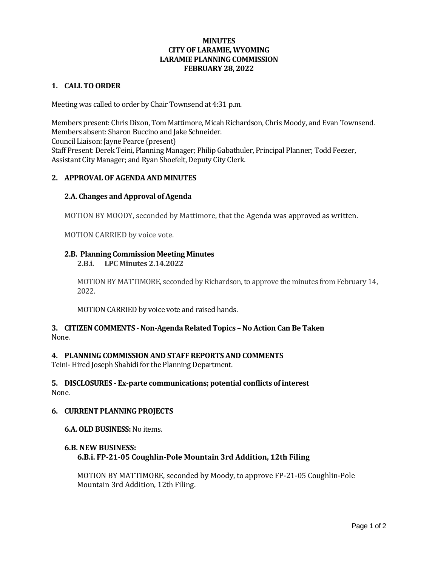# **MINUTES CITY OF LARAMIE, WYOMING LARAMIE PLANNING COMMISSION FEBRUARY 28, 2022**

### **1. CALL TO ORDER**

Meeting was called to order by Chair Townsend at 4:31 p.m.

Members present: Chris Dixon, Tom Mattimore, Micah Richardson, Chris Moody, and Evan Townsend. Members absent: Sharon Buccino and Jake Schneider. Council Liaison: Jayne Pearce (present) Staff Present: Derek Teini, Planning Manager; Philip Gabathuler, Principal Planner; Todd Feezer, Assistant City Manager; and Ryan Shoefelt, Deputy City Clerk.

# **2. APPROVAL OF AGENDA AND MINUTES**

# **2.A. Changes and Approval of Agenda**

MOTION BY MOODY, seconded by Mattimore, that the Agenda was approved as written.

MOTION CARRIED by voice vote.

# **2.B. Planning Commission Meeting Minutes**

#### **2.B.i. LPC Minutes 2.14.2022**

MOTION BY MATTIMORE, seconded by Richardson, to approve the minutes from February 14, 2022.

MOTION CARRIED by voice vote and raised hands.

# **3. CITIZEN COMMENTS - Non-Agenda Related Topics – No Action Can Be Taken** None.

### **4. PLANNING COMMISSION AND STAFF REPORTS AND COMMENTS**

Teini- Hired Joseph Shahidi for the Planning Department.

### **5. DISCLOSURES - Ex-parte communications; potential conflicts of interest** None.

### **6. CURRENT PLANNING PROJECTS**

#### **6.A. OLD BUSINESS:**No items.

#### **6.B. NEW BUSINESS:**

### **6.B.i. FP-21-05 Coughlin-Pole Mountain 3rd Addition, 12th Filing**

MOTION BY MATTIMORE, seconded by Moody, to approve FP-21-05 Coughlin-Pole Mountain 3rd Addition, 12th Filing.